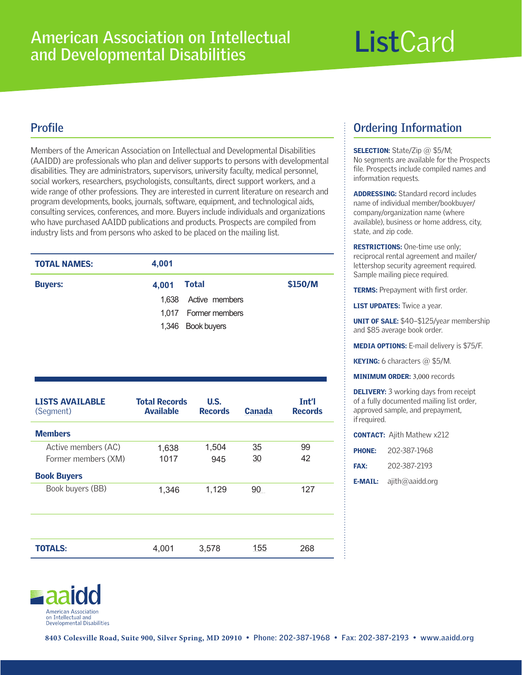# **List**Card

# **Profile**

Members of the American Association on Intellectual and Developmental Disabilities (AAIDD) are professionals who plan and deliver supports to persons with developmental disabilities. They are administrators, supervisors, university faculty, medical personnel, social workers, researchers, psychologists, consultants, direct support workers, and a wide range of other professions. They are interested in current literature on research and program developments, books, journals, software, equipment, and technological aids, consulting services, conferences, and more. Buyers include individuals and organizations who have purchased AAIDD publications and products. Prospects are compiled from industry lists and from persons who asked to be placed on the mailing list.

| <b>TOTAL NAMES:</b> | 4,001 |                      |         |
|---------------------|-------|----------------------|---------|
| <b>Buyers:</b>      | 4,001 | Total                | \$150/M |
|                     |       | 1,638 Active members |         |
|                     |       | 1,017 Former members |         |
|                     |       | 1,346 Book buyers    |         |

| <b>LISTS AVAILABLE</b><br>(Segment) | <b>Total Records</b><br><b>Available</b> | U.S.<br><b>Records</b> | <b>Canada</b>   | Tnt'l<br><b>Records</b> |
|-------------------------------------|------------------------------------------|------------------------|-----------------|-------------------------|
| <b>Members</b>                      |                                          |                        |                 |                         |
| Active members (AC)                 | 1,638                                    | 1,504                  | 35              | 99                      |
| Former members (XM)                 | 1017                                     | 945                    | 30              | 42                      |
| <b>Book Buyers</b>                  |                                          |                        |                 |                         |
| Book buyers (BB)                    | 1,346                                    | 1,129                  | 90 <sub>1</sub> | 127                     |
|                                     |                                          |                        |                 |                         |
|                                     |                                          |                        |                 |                         |
|                                     |                                          |                        |                 |                         |
| <b>TOTALS:</b>                      | 4,001                                    | 3,578                  | 155             | 268                     |
|                                     |                                          |                        |                 |                         |

# **Ordering Information**

SELECTION: State/Zip @ \$5/M; No segments are available for the Prospects file. Prospects include compiled names and information requests.

ADDRESSING: Standard record includes name of individual member/bookbuyer/ company/organization name (where available), business or home address, city, state, and zip code.

RESTRICTIONS: One-time use only; reciprocal rental agreement and mailer/ lettershop security agreement required. Sample mailing piece required.

**TERMS:** Prepayment with first order.

**LIST UPDATES:** Twice a year.

UNIT OF SALE: \$40–\$125/year membership and \$85 average book order.

MEDIA OPTIONS: E-mail delivery is \$75/F.

KEYING: 6 characters @ \$5/M.

MINIMUM ORDER: 3,000 records

**DELIVERY:** 3 working days from receipt of a fully documented mailing list order, approved sample, and prepayment, if required.

|               | <b>CONTACT:</b> Ajith Mathew x212 |
|---------------|-----------------------------------|
| <b>PHONE:</b> | 202-387-1968                      |

| <b>FAX:</b> | 202-387-2193 |
|-------------|--------------|

**E-MAIL:**  $a$ jith@aaidd.org